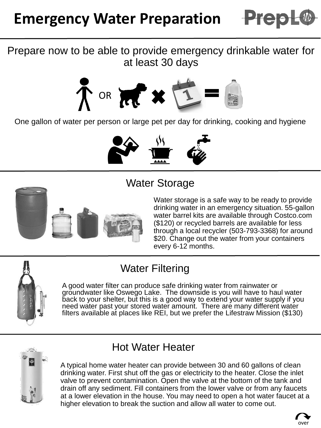

#### Prepare now to be able to provide emergency drinkable water for at least 30 days



One gallon of water per person or large pet per day for drinking, cooking and hygiene



# Water Storage



Water storage is a safe way to be ready to provide drinking water in an emergency situation. 55-gallon water barrel kits are available through Costco.com (\$120) or recycled barrels are available for less through a local recycler (503-793-3368) for around \$20. Change out the water from your containers every 6-12 months.

# Water Filtering

A good water filter can produce safe drinking water from rainwater or groundwater like Oswego Lake. The downside is you will have to haul water back to your shelter, but this is a good way to extend your water supply if you need water past your stored water amount. There are many different water filters available at places like REI, but we prefer the Lifestraw Mission (\$130)



# Hot Water Heater

A typical home water heater can provide between 30 and 60 gallons of clean drinking water. First shut off the gas or electricity to the heater. Close the inlet valve to prevent contamination. Open the valve at the bottom of the tank and drain off any sediment. Fill containers from the lower valve or from any faucets at a lower elevation in the house. You may need to open a hot water faucet at a higher elevation to break the suction and allow all water to come out.